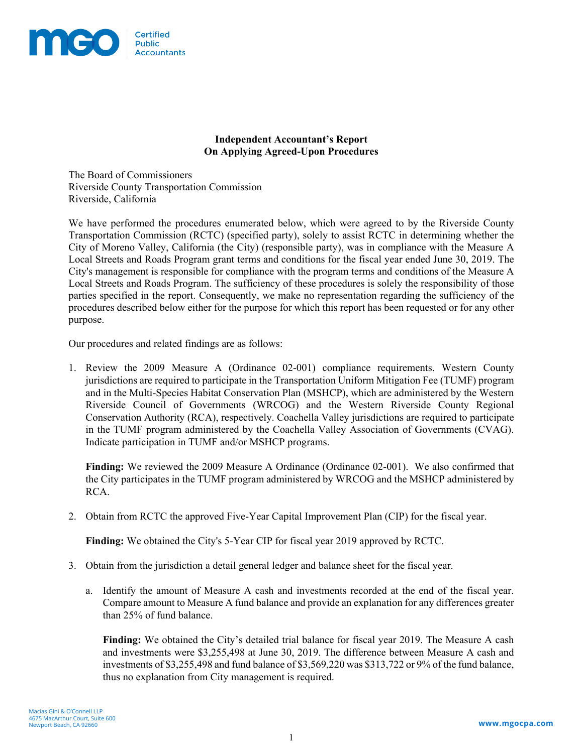

## **Independent Accountant's Report On Applying Agreed-Upon Procedures**

The Board of Commissioners Riverside County Transportation Commission Riverside, California

We have performed the procedures enumerated below, which were agreed to by the Riverside County Transportation Commission (RCTC) (specified party), solely to assist RCTC in determining whether the City of Moreno Valley, California (the City) (responsible party), was in compliance with the Measure A Local Streets and Roads Program grant terms and conditions for the fiscal year ended June 30, 2019. The City's management is responsible for compliance with the program terms and conditions of the Measure A Local Streets and Roads Program. The sufficiency of these procedures is solely the responsibility of those parties specified in the report. Consequently, we make no representation regarding the sufficiency of the procedures described below either for the purpose for which this report has been requested or for any other purpose.

Our procedures and related findings are as follows:

1. Review the 2009 Measure A (Ordinance 02-001) compliance requirements. Western County jurisdictions are required to participate in the Transportation Uniform Mitigation Fee (TUMF) program and in the Multi-Species Habitat Conservation Plan (MSHCP), which are administered by the Western Riverside Council of Governments (WRCOG) and the Western Riverside County Regional Conservation Authority (RCA), respectively. Coachella Valley jurisdictions are required to participate in the TUMF program administered by the Coachella Valley Association of Governments (CVAG). Indicate participation in TUMF and/or MSHCP programs.

**Finding:** We reviewed the 2009 Measure A Ordinance (Ordinance 02-001). We also confirmed that the City participates in the TUMF program administered by WRCOG and the MSHCP administered by RCA.

2. Obtain from RCTC the approved Five-Year Capital Improvement Plan (CIP) for the fiscal year.

**Finding:** We obtained the City's 5-Year CIP for fiscal year 2019 approved by RCTC.

- 3. Obtain from the jurisdiction a detail general ledger and balance sheet for the fiscal year.
	- a. Identify the amount of Measure A cash and investments recorded at the end of the fiscal year. Compare amount to Measure A fund balance and provide an explanation for any differences greater than 25% of fund balance.

**Finding:** We obtained the City's detailed trial balance for fiscal year 2019. The Measure A cash and investments were \$3,255,498 at June 30, 2019. The difference between Measure A cash and investments of \$3,255,498 and fund balance of \$3,569,220 was \$313,722 or 9% of the fund balance, thus no explanation from City management is required.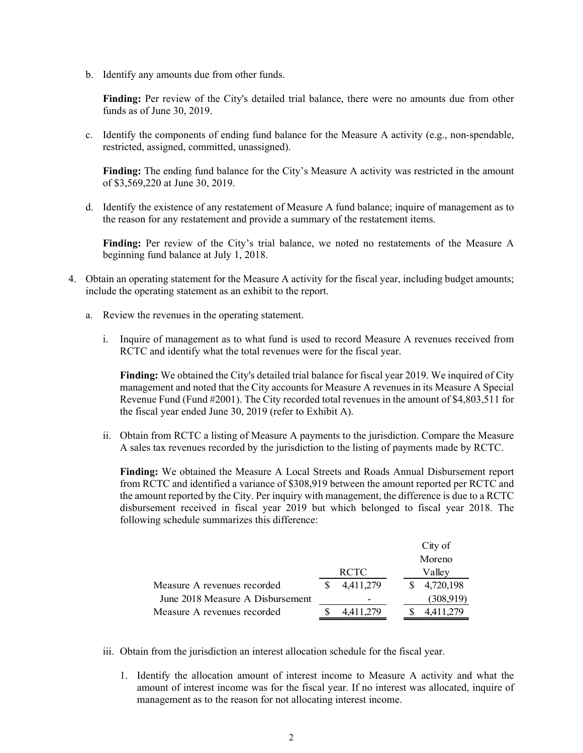b. Identify any amounts due from other funds.

**Finding:** Per review of the City's detailed trial balance, there were no amounts due from other funds as of June 30, 2019.

c. Identify the components of ending fund balance for the Measure A activity (e.g., non-spendable, restricted, assigned, committed, unassigned).

**Finding:** The ending fund balance for the City's Measure A activity was restricted in the amount of \$3,569,220 at June 30, 2019.

d. Identify the existence of any restatement of Measure A fund balance; inquire of management as to the reason for any restatement and provide a summary of the restatement items.

**Finding:** Per review of the City's trial balance, we noted no restatements of the Measure A beginning fund balance at July 1, 2018.

- 4. Obtain an operating statement for the Measure A activity for the fiscal year, including budget amounts; include the operating statement as an exhibit to the report.
	- a. Review the revenues in the operating statement.
		- i. Inquire of management as to what fund is used to record Measure A revenues received from RCTC and identify what the total revenues were for the fiscal year.

**Finding:** We obtained the City's detailed trial balance for fiscal year 2019. We inquired of City management and noted that the City accounts for Measure A revenues in its Measure A Special Revenue Fund (Fund #2001). The City recorded total revenues in the amount of \$4,803,511 for the fiscal year ended June 30, 2019 (refer to Exhibit A).

ii. Obtain from RCTC a listing of Measure A payments to the jurisdiction. Compare the Measure A sales tax revenues recorded by the jurisdiction to the listing of payments made by RCTC.

**Finding:** We obtained the Measure A Local Streets and Roads Annual Disbursement report from RCTC and identified a variance of \$308,919 between the amount reported per RCTC and the amount reported by the City. Per inquiry with management, the difference is due to a RCTC disbursement received in fiscal year 2019 but which belonged to fiscal year 2018. The following schedule summarizes this difference:

|                                  |             |           |  | City of |           |  |  |
|----------------------------------|-------------|-----------|--|---------|-----------|--|--|
|                                  |             |           |  | Moreno  |           |  |  |
|                                  | <b>RCTC</b> |           |  | Valley  |           |  |  |
| Measure A revenues recorded      |             | 4,411,279 |  |         | 4,720,198 |  |  |
| June 2018 Measure A Disbursement |             |           |  |         | (308,919) |  |  |
| Measure A revenues recorded      |             | 4.411.279 |  |         | 4.411.279 |  |  |

- iii. Obtain from the jurisdiction an interest allocation schedule for the fiscal year.
	- 1. Identify the allocation amount of interest income to Measure A activity and what the amount of interest income was for the fiscal year. If no interest was allocated, inquire of management as to the reason for not allocating interest income.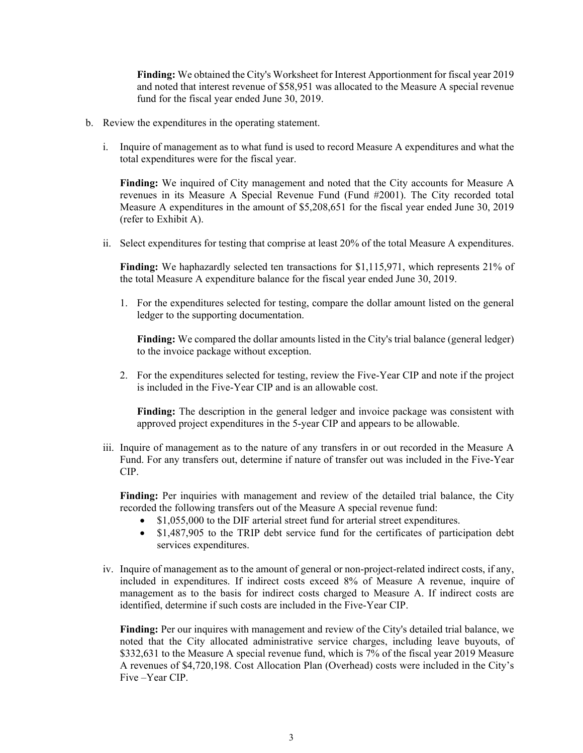**Finding:** We obtained the City's Worksheet for Interest Apportionment for fiscal year 2019 and noted that interest revenue of \$58,951 was allocated to the Measure A special revenue fund for the fiscal year ended June 30, 2019.

- b. Review the expenditures in the operating statement.
	- i. Inquire of management as to what fund is used to record Measure A expenditures and what the total expenditures were for the fiscal year.

**Finding:** We inquired of City management and noted that the City accounts for Measure A revenues in its Measure A Special Revenue Fund (Fund #2001). The City recorded total Measure A expenditures in the amount of \$5,208,651 for the fiscal year ended June 30, 2019 (refer to Exhibit A).

ii. Select expenditures for testing that comprise at least 20% of the total Measure A expenditures.

**Finding:** We haphazardly selected ten transactions for \$1,115,971, which represents 21% of the total Measure A expenditure balance for the fiscal year ended June 30, 2019.

1. For the expenditures selected for testing, compare the dollar amount listed on the general ledger to the supporting documentation.

**Finding:** We compared the dollar amounts listed in the City's trial balance (general ledger) to the invoice package without exception.

2. For the expenditures selected for testing, review the Five-Year CIP and note if the project is included in the Five-Year CIP and is an allowable cost.

**Finding:** The description in the general ledger and invoice package was consistent with approved project expenditures in the 5-year CIP and appears to be allowable.

iii. Inquire of management as to the nature of any transfers in or out recorded in the Measure A Fund. For any transfers out, determine if nature of transfer out was included in the Five-Year CIP.

**Finding:** Per inquiries with management and review of the detailed trial balance, the City recorded the following transfers out of the Measure A special revenue fund:

- \$1,055,000 to the DIF arterial street fund for arterial street expenditures.
- \$1,487,905 to the TRIP debt service fund for the certificates of participation debt services expenditures.
- iv. Inquire of management as to the amount of general or non-project-related indirect costs, if any, included in expenditures. If indirect costs exceed 8% of Measure A revenue, inquire of management as to the basis for indirect costs charged to Measure A. If indirect costs are identified, determine if such costs are included in the Five-Year CIP.

**Finding:** Per our inquires with management and review of the City's detailed trial balance, we noted that the City allocated administrative service charges, including leave buyouts, of \$332,631 to the Measure A special revenue fund, which is 7% of the fiscal year 2019 Measure A revenues of \$4,720,198. Cost Allocation Plan (Overhead) costs were included in the City's Five –Year CIP.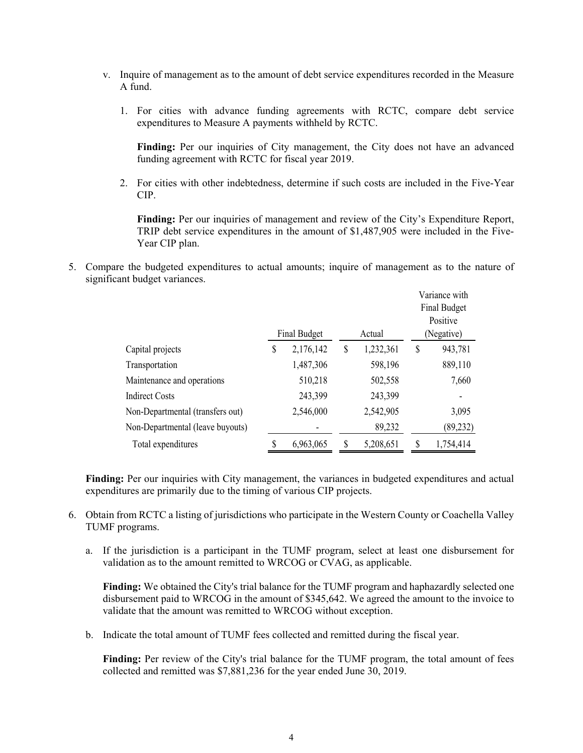- v. Inquire of management as to the amount of debt service expenditures recorded in the Measure A fund.
	- 1. For cities with advance funding agreements with RCTC, compare debt service expenditures to Measure A payments withheld by RCTC.

**Finding:** Per our inquiries of City management, the City does not have an advanced funding agreement with RCTC for fiscal year 2019.

2. For cities with other indebtedness, determine if such costs are included in the Five-Year CIP.

**Finding:** Per our inquiries of management and review of the City's Expenditure Report, TRIP debt service expenditures in the amount of \$1,487,905 were included in the Five-Year CIP plan.

5. Compare the budgeted expenditures to actual amounts; inquire of management as to the nature of significant budget variances.

|                                  |                     |           |   |           |    | Variance with       |  |
|----------------------------------|---------------------|-----------|---|-----------|----|---------------------|--|
|                                  |                     |           |   |           |    | <b>Final Budget</b> |  |
|                                  |                     |           |   |           |    | Positive            |  |
|                                  | <b>Final Budget</b> |           |   | Actual    |    | (Negative)          |  |
| Capital projects                 | \$                  | 2,176,142 | S | 1,232,361 | \$ | 943,781             |  |
| Transportation                   |                     | 1,487,306 |   | 598,196   |    | 889,110             |  |
| Maintenance and operations       |                     | 510,218   |   | 502,558   |    | 7,660               |  |
| <b>Indirect Costs</b>            |                     | 243,399   |   | 243,399   |    |                     |  |
| Non-Departmental (transfers out) |                     | 2,546,000 |   | 2,542,905 |    | 3,095               |  |
| Non-Departmental (leave buyouts) |                     |           |   | 89,232    |    | (89, 232)           |  |
| Total expenditures               |                     | 6,963,065 |   | 5,208,651 | S  | 1,754,414           |  |

**Finding:** Per our inquiries with City management, the variances in budgeted expenditures and actual expenditures are primarily due to the timing of various CIP projects.

- 6. Obtain from RCTC a listing of jurisdictions who participate in the Western County or Coachella Valley TUMF programs.
	- a. If the jurisdiction is a participant in the TUMF program, select at least one disbursement for validation as to the amount remitted to WRCOG or CVAG, as applicable.

**Finding:** We obtained the City's trial balance for the TUMF program and haphazardly selected one disbursement paid to WRCOG in the amount of \$345,642. We agreed the amount to the invoice to validate that the amount was remitted to WRCOG without exception.

b. Indicate the total amount of TUMF fees collected and remitted during the fiscal year.

**Finding:** Per review of the City's trial balance for the TUMF program, the total amount of fees collected and remitted was \$7,881,236 for the year ended June 30, 2019.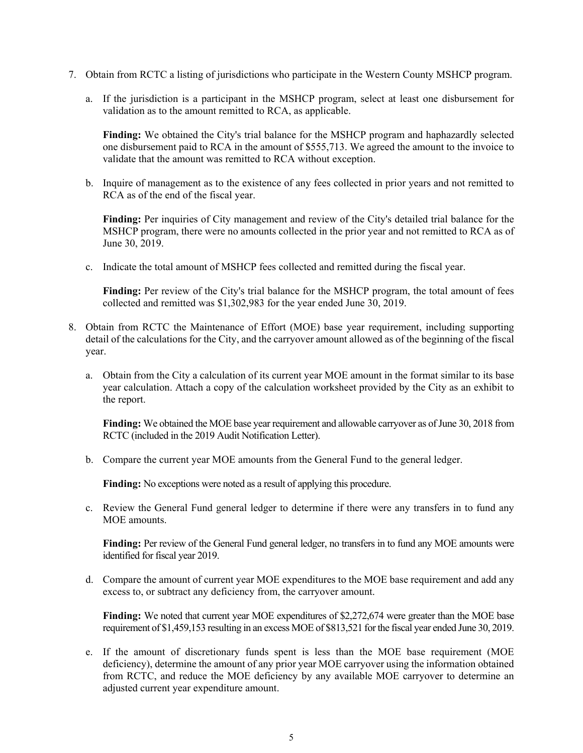- 7. Obtain from RCTC a listing of jurisdictions who participate in the Western County MSHCP program.
	- a. If the jurisdiction is a participant in the MSHCP program, select at least one disbursement for validation as to the amount remitted to RCA, as applicable.

**Finding:** We obtained the City's trial balance for the MSHCP program and haphazardly selected one disbursement paid to RCA in the amount of \$555,713. We agreed the amount to the invoice to validate that the amount was remitted to RCA without exception.

b. Inquire of management as to the existence of any fees collected in prior years and not remitted to RCA as of the end of the fiscal year.

**Finding:** Per inquiries of City management and review of the City's detailed trial balance for the MSHCP program, there were no amounts collected in the prior year and not remitted to RCA as of June 30, 2019.

c. Indicate the total amount of MSHCP fees collected and remitted during the fiscal year.

**Finding:** Per review of the City's trial balance for the MSHCP program, the total amount of fees collected and remitted was \$1,302,983 for the year ended June 30, 2019.

- 8. Obtain from RCTC the Maintenance of Effort (MOE) base year requirement, including supporting detail of the calculations for the City, and the carryover amount allowed as of the beginning of the fiscal year.
	- a. Obtain from the City a calculation of its current year MOE amount in the format similar to its base year calculation. Attach a copy of the calculation worksheet provided by the City as an exhibit to the report.

**Finding:** We obtained the MOE base year requirement and allowable carryover as of June 30, 2018 from RCTC (included in the 2019 Audit Notification Letter).

b. Compare the current year MOE amounts from the General Fund to the general ledger.

**Finding:** No exceptions were noted as a result of applying this procedure.

c. Review the General Fund general ledger to determine if there were any transfers in to fund any MOE amounts.

**Finding:** Per review of the General Fund general ledger, no transfers in to fund any MOE amounts were identified for fiscal year 2019.

d. Compare the amount of current year MOE expenditures to the MOE base requirement and add any excess to, or subtract any deficiency from, the carryover amount.

**Finding:** We noted that current year MOE expenditures of \$2,272,674 were greater than the MOE base requirement of \$1,459,153 resulting in an excess MOE of \$813,521 for the fiscal year ended June 30, 2019.

e. If the amount of discretionary funds spent is less than the MOE base requirement (MOE deficiency), determine the amount of any prior year MOE carryover using the information obtained from RCTC, and reduce the MOE deficiency by any available MOE carryover to determine an adjusted current year expenditure amount.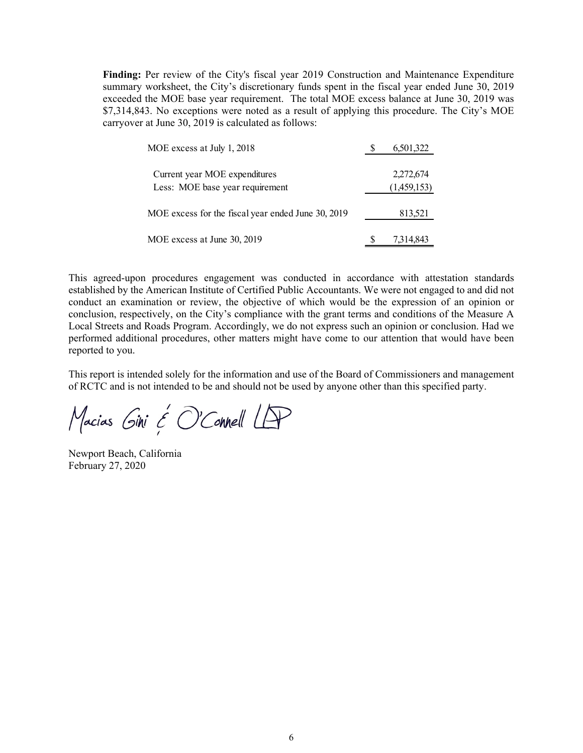**Finding:** Per review of the City's fiscal year 2019 Construction and Maintenance Expenditure summary worksheet, the City's discretionary funds spent in the fiscal year ended June 30, 2019 exceeded the MOE base year requirement. The total MOE excess balance at June 30, 2019 was \$7,314,843. No exceptions were noted as a result of applying this procedure. The City's MOE carryover at June 30, 2019 is calculated as follows:

| MOE excess at July 1, 2018                         | 6,501,322   |
|----------------------------------------------------|-------------|
| Current year MOE expenditures                      | 2,272,674   |
| Less: MOE base year requirement                    | (1,459,153) |
| MOE excess for the fiscal year ended June 30, 2019 | 813,521     |
| MOE excess at June 30, 2019                        | 7,314,843   |

This agreed-upon procedures engagement was conducted in accordance with attestation standards established by the American Institute of Certified Public Accountants. We were not engaged to and did not conduct an examination or review, the objective of which would be the expression of an opinion or conclusion, respectively, on the City's compliance with the grant terms and conditions of the Measure A Local Streets and Roads Program. Accordingly, we do not express such an opinion or conclusion. Had we performed additional procedures, other matters might have come to our attention that would have been reported to you.

This report is intended solely for the information and use of the Board of Commissioners and management of RCTC and is not intended to be and should not be used by anyone other than this specified party.

Macias Gini & O'Connell LAP

Newport Beach, California February 27, 2020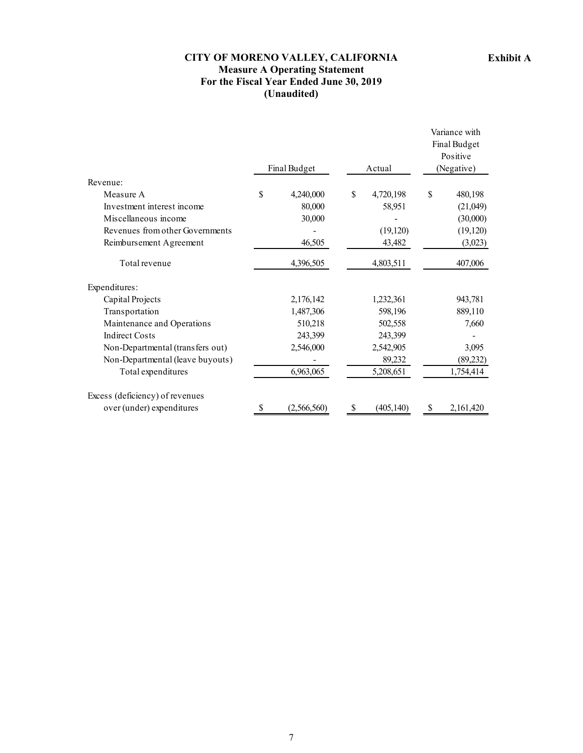## **CITY OF MORENO VALLEY, CALIFORNIA Measure A Operating Statement For the Fiscal Year Ended June 30, 2019 (Unaudited)**

|                                  |    |              |        |            |            | Variance with<br>Final Budget |
|----------------------------------|----|--------------|--------|------------|------------|-------------------------------|
|                                  |    |              |        |            |            | Positive                      |
|                                  |    | Final Budget | Actual |            | (Negative) |                               |
| Revenue:                         |    |              |        |            |            |                               |
| Measure A                        | \$ | 4,240,000    | \$     | 4,720,198  | \$         | 480,198                       |
| Investment interest income       |    | 80,000       |        | 58,951     |            | (21,049)                      |
| Miscellaneous income             |    | 30,000       |        |            |            | (30,000)                      |
| Revenues from other Governments  |    |              |        | (19, 120)  |            | (19, 120)                     |
| Reimbursement Agreement          |    | 46,505       |        | 43,482     |            | (3,023)                       |
| Total revenue                    |    | 4,396,505    |        | 4,803,511  |            | 407,006                       |
| Expenditures:                    |    |              |        |            |            |                               |
| Capital Projects                 |    | 2,176,142    |        | 1,232,361  |            | 943,781                       |
| Transportation                   |    | 1,487,306    |        | 598,196    |            | 889,110                       |
| Maintenance and Operations       |    | 510,218      |        | 502,558    |            | 7,660                         |
| <b>Indirect Costs</b>            |    | 243,399      |        | 243,399    |            |                               |
| Non-Departmental (transfers out) |    | 2,546,000    |        | 2,542,905  |            | 3,095                         |
| Non-Departmental (leave buyouts) |    |              |        | 89,232     |            | (89, 232)                     |
| Total expenditures               |    | 6,963,065    |        | 5,208,651  |            | 1,754,414                     |
| Excess (deficiency) of revenues  |    |              |        |            |            |                               |
| over (under) expenditures        | S  | (2,566,560)  | S      | (405, 140) | S          | 2,161,420                     |